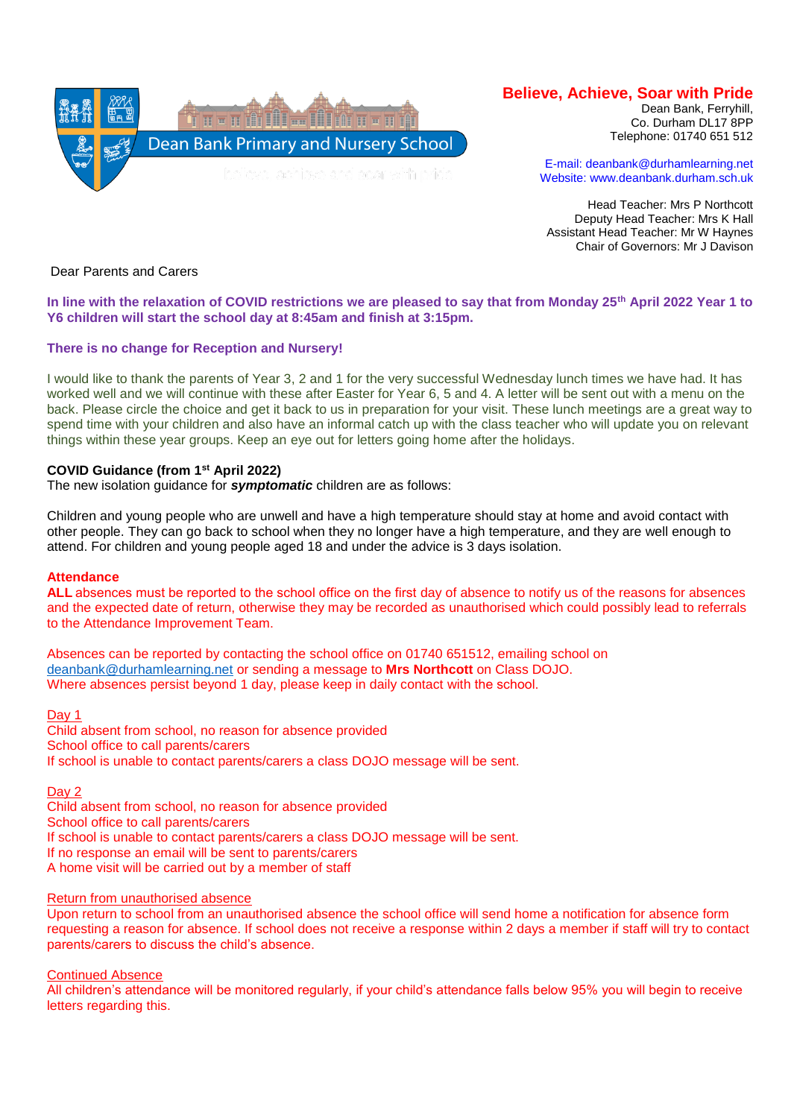

# **Believe, Achieve, Soar with Pride**

Dean Bank, Ferryhill, Co. Durham DL17 8PP Telephone: 01740 651 512

E-mail: deanbank@durhamlearning.net Website: www.deanbank.durham.sch.uk

Head Teacher: Mrs P Northcott Deputy Head Teacher: Mrs K Hall Assistant Head Teacher: Mr W Haynes Chair of Governors: Mr J Davison

Dear Parents and Carers

# **In line with the relaxation of COVID restrictions we are pleased to say that from Monday 25th April 2022 Year 1 to Y6 children will start the school day at 8:45am and finish at 3:15pm.**

# **There is no change for Reception and Nursery!**

I would like to thank the parents of Year 3, 2 and 1 for the very successful Wednesday lunch times we have had. It has worked well and we will continue with these after Easter for Year 6, 5 and 4. A letter will be sent out with a menu on the back. Please circle the choice and get it back to us in preparation for your visit. These lunch meetings are a great way to spend time with your children and also have an informal catch up with the class teacher who will update you on relevant things within these year groups. Keep an eye out for letters going home after the holidays.

# **COVID Guidance (from 1st April 2022)**

The new isolation guidance for *symptomatic* children are as follows:

Children and young people who are unwell and have a high temperature should stay at home and avoid contact with other people. They can go back to school when they no longer have a high temperature, and they are well enough to attend. For children and young people aged 18 and under the advice is 3 days isolation.

#### **Attendance**

**ALL** absences must be reported to the school office on the first day of absence to notify us of the reasons for absences and the expected date of return, otherwise they may be recorded as unauthorised which could possibly lead to referrals to the Attendance Improvement Team.

Absences can be reported by contacting the school office on 01740 651512, emailing school on [deanbank@durhamlearning.net](mailto:deanbank@durhamlearning.net) or sending a message to **Mrs Northcott** on Class DOJO. Where absences persist beyond 1 day, please keep in daily contact with the school.  

Day 1

Child absent from school, no reason for absence provided School office to call parents/carers If school is unable to contact parents/carers a class DOJO message will be sent.

Day 2

Child absent from school, no reason for absence provided School office to call parents/carers If school is unable to contact parents/carers a class DOJO message will be sent. If no response an email will be sent to parents/carers A home visit will be carried out by a member of staff

#### Return from unauthorised absence

Upon return to school from an unauthorised absence the school office will send home a notification for absence form requesting a reason for absence. If school does not receive a response within 2 days a member if staff will try to contact parents/carers to discuss the child's absence.

Continued Absence

All children's attendance will be monitored regularly, if your child's attendance falls below 95% you will begin to receive letters regarding this.